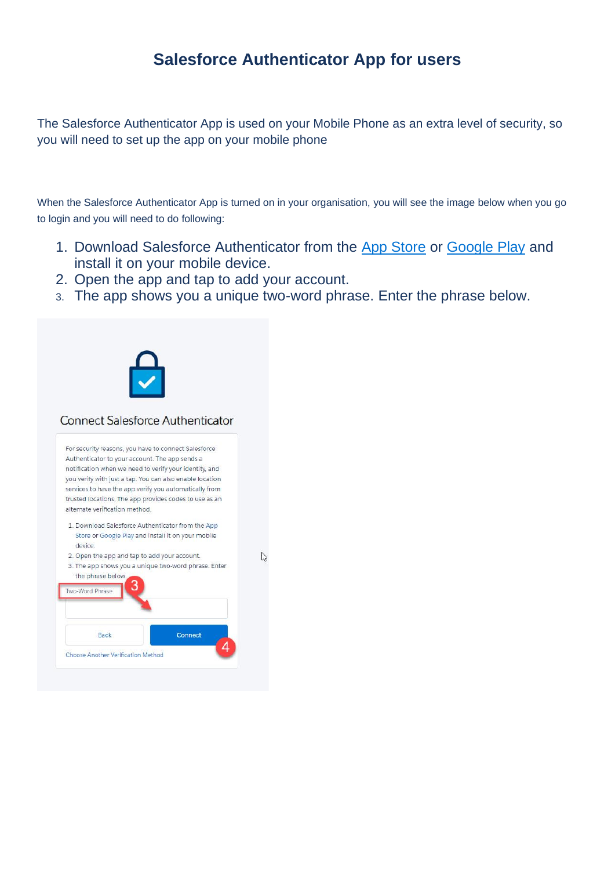# **Salesforce Authenticator App for users**

The Salesforce Authenticator App is used on your Mobile Phone as an extra level of security, so you will need to set up the app on your mobile phone

When the Salesforce Authenticator App is turned on in your organisation, you will see the image below when you go to login and you will need to do following:

- 1. Download Salesforce Authenticator from the [App Store](https://itunes.apple.com/us/app/salesforce/id782057975?ls=1&mt=8) or [Google Play](https://play.google.com/store/apps/details?id=com.salesforce.authenticator) and install it on your mobile device.
- 2. Open the app and tap to add your account.
- 3. The app shows you a unique two-word phrase. Enter the phrase below.

 $\gamma$ 



#### **Connect Salesforce Authenticator**

For security reasons, you have to connect Salesforce Authenticator to your account. The app sends a notification when we need to verify your identity, and you verify with just a tap. You can also enable location services to have the app verify you automatically from trusted locations. The app provides codes to use as an alternate verification method.

- 1. Download Salesforce Authenticator from the App Store or Google Play and install it on your mobile device.
- 2. Open the app and tap to add your account. 3. The app shows you a unique two-word phrase. Enter the phrase below.

| Back | Connect |  |
|------|---------|--|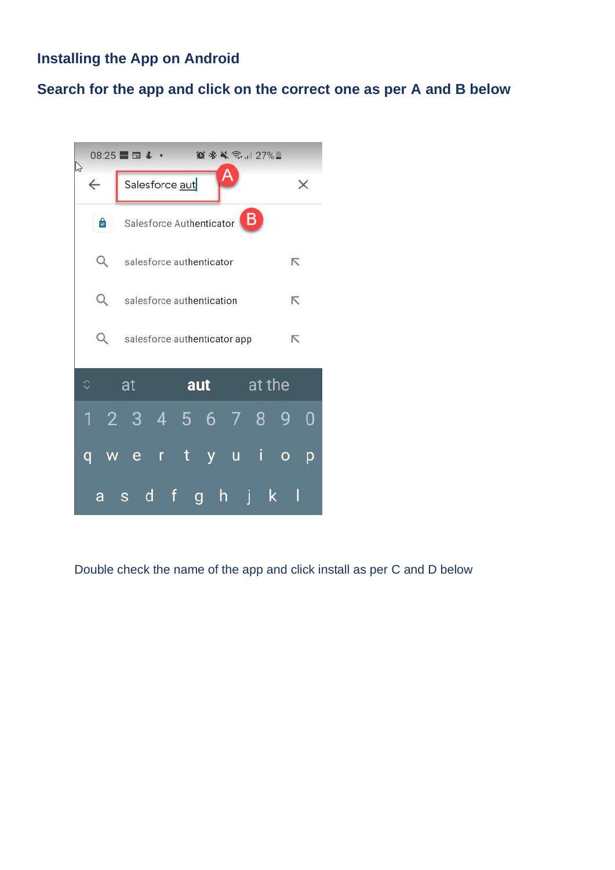# **Installing the App on Android**

## **Search for the app and click on the correct one as per A and B below**



Double check the name of the app and click install as per C and D below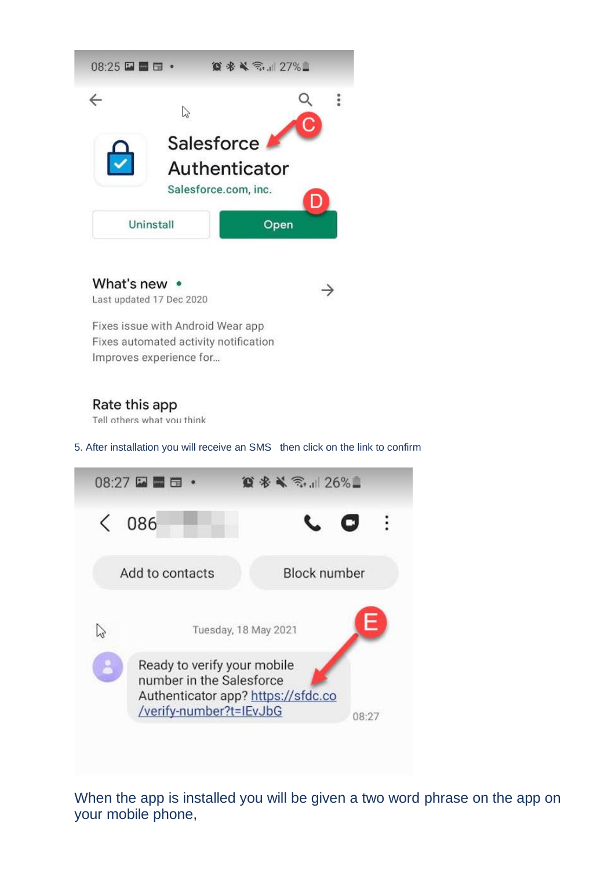

What's new • Last updated 17 Dec 2020

Fixes issue with Android Wear app Fixes automated activity notification Improves experience for...

### Rate this app

Tell others what you think

5. After installation you will receive an SMS then click on the link to confirm

 $\rightarrow$ 



When the app is installed you will be given a two word phrase on the app on your mobile phone,